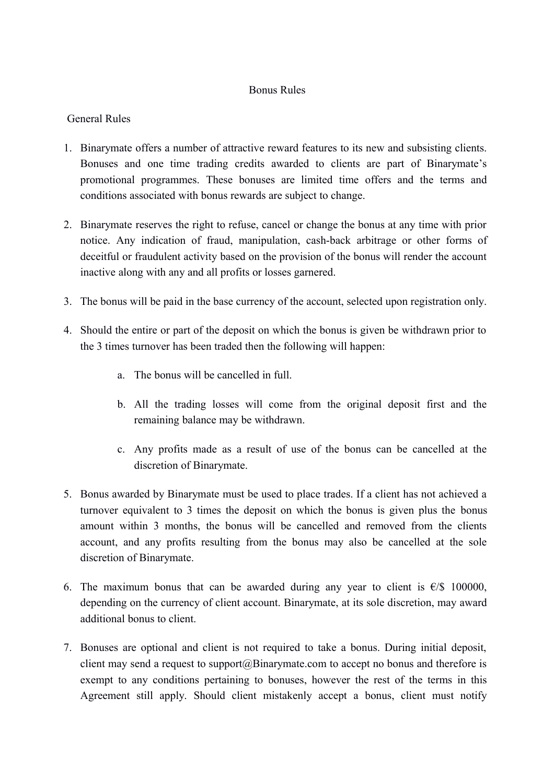## Bonus Rules

## General Rules

- 1. Binarymate offers a number of attractive reward features to its new and subsisting clients. Bonuses and one time trading credits awarded to clients are part of Binarymate's promotional programmes. These bonuses are limited time offers and the terms and conditions associated with bonus rewards are subject to change.
- 2. Binarymate reserves the right to refuse, cancel or change the bonus at any time with prior notice. Any indication of fraud, manipulation, cash-back arbitrage or other forms of deceitful or fraudulent activity based on the provision of the bonus will render the account inactive along with any and all profits or losses garnered.
- 3. The bonus will be paid in the base currency of the account, selected upon registration only.
- 4. Should the entire or part of the deposit on which the bonus is given be withdrawn prior to the 3 times turnover has been traded then the following will happen:
	- a. The bonus will be cancelled in full.
	- b. All the trading losses will come from the original deposit first and the remaining balance may be withdrawn.
	- c. Any profits made as a result of use of the bonus can be cancelled at the discretion of Binarymate.
- 5. Bonus awarded by Binarymate must be used to place trades. If a client has not achieved a turnover equivalent to 3 times the deposit on which the bonus is given plus the bonus amount within 3 months, the bonus will be cancelled and removed from the clients account, and any profits resulting from the bonus may also be cancelled at the sole discretion of Binarymate.
- 6. The maximum bonus that can be awarded during any year to client is  $\epsilon$ /\$ 100000, depending on the currency of client account. Binarymate, at its sole discretion, may award additional bonus to client.
- 7. Bonuses are optional and client is not required to take a bonus. During initial deposit, client may send a request to support $(a)$ Binarymate.com to accept no bonus and therefore is exempt to any conditions pertaining to bonuses, however the rest of the terms in this Agreement still apply. Should client mistakenly accept a bonus, client must notify